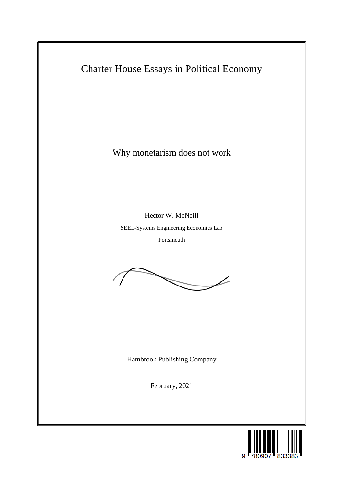

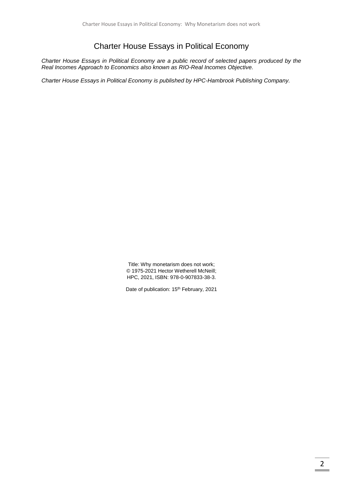# Charter House Essays in Political Economy

*Charter House Essays in Political Economy are a public record of selected papers produced by the Real Incomes Approach to Economics also known as RIO-Real Incomes Objective.*

*Charter House Essays in Political Economy is published by HPC-Hambrook Publishing Company.*

Title: Why monetarism does not work; © 1975-2021 Hector Wetherell McNeill; HPC, 2021, ISBN: 978-0-907833-38-3.

Date of publication: 15<sup>th</sup> February, 2021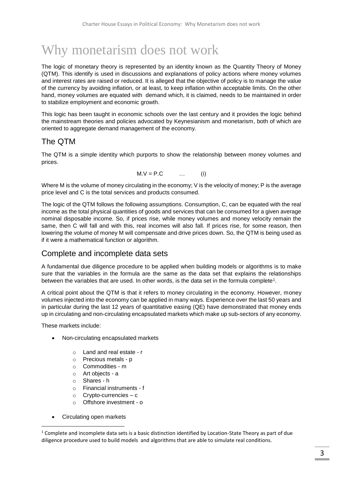# Why monetarism does not work

The logic of monetary theory is represented by an identity known as the Quantity Theory of Money (QTM). This identify is used in discussions and explanations of policy actions where money volumes and interest rates are raised or reduced. It is alleged that the objective of policy is to manage the value of the currency by avoiding inflation, or at least, to keep inflation within acceptable limits. On the other hand, money volumes are equated with demand which, it is claimed, needs to be maintained in order to stabilize employment and economic growth.

This logic has been taught in economic schools over the last century and it provides the logic behind the mainstream theories and policies advocated by Keynesianism and monetarism, both of which are oriented to aggregate demand management of the economy.

## The QTM

The QTM is a simple identity which purports to show the relationship between money volumes and prices.

$$
M.V = P.C \qquad \dots \qquad (i)
$$

Where M is the volume of money circulating in the economy; V is the velocity of money; P is the average price level and C is the total services and products consumed.

The logic of the QTM follows the following assumptions. Consumption, C, can be equated with the real income as the total physical quantities of goods and services that can be consumed for a given average nominal disposable income. So, if prices rise, while money volumes and money velocity remain the same, then C will fall and with this, real incomes will also fall. If prices rise, for some reason, then lowering the volume of money M will compensate and drive prices down. So, the QTM is being used as if it were a mathematical function or algorithm.

#### Complete and incomplete data sets

A fundamental due diligence procedure to be applied when building models or algorithms is to make sure that the variables in the formula are the same as the data set that explains the relationships between the variables that are used. In other words, is the data set in the formula complete<sup>1</sup>.

A critical point about the QTM is that it refers to money circulating in the economy. However, money volumes injected into the economy can be applied in many ways. Experience over the last 50 years and in particular during the last 12 years of quantitative easing (QE) have demonstrated that money ends up in circulating and non-circulating encapsulated markets which make up sub-sectors of any economy.

These markets include:

- Non-circulating encapsulated markets
	- o Land and real estate r
	- o Precious metals p
	- o Commodities m
	- o Art objects a
	- o Shares h
	- o Financial instruments f
	- o Crypto-currencies c
	- o Offshore investment o
- Circulating open markets

 $\overline{a}$ 

 $1$  Complete and incomplete data sets is a basic distinction identified by Location-State Theory as part of due diligence procedure used to build models and algorithms that are able to simulate real conditions.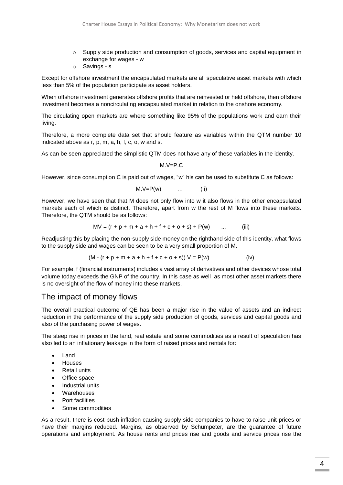- $\circ$  Supply side production and consumption of goods, services and capital equipment in exchange for wages - w
- o Savings s

Except for offshore investment the encapsulated markets are all speculative asset markets with which less than 5% of the population participate as asset holders.

When offshore investment generates offshore profits that are reinvested or held offshore, then offshore investment becomes a noncirculating encapsulated market in relation to the onshore economy.

The circulating open markets are where something like 95% of the populations work and earn their living.

Therefore, a more complete data set that should feature as variables within the QTM number 10 indicated above as r, p, m, a, h, f, c, o, w and s.

As can be seen appreciated the simplistic QTM does not have any of these variables in the identity.

M.V=P.C

However, since consumption C is paid out of wages, "w" his can be used to substitute C as follows:

$$
M.V = P(w) \qquad \dots \qquad (ii)
$$

However, we have seen that that M does not only flow into w it also flows in the other encapsulated markets each of which is distinct. Therefore, apart from w the rest of M flows into these markets. Therefore, the QTM should be as follows:

$$
MV = (r + p + m + a + h + f + c + o + s) + P(w) \quad ... \quad (iii)
$$

Readjusting this by placing the non-supply side money on the righthand side of this identity, what flows to the supply side and wages can be seen to be a very small proportion of M.

$$
(M - (r + p + m + a + h + f + c + o + s)) V = P(w) \qquad ... \qquad (iv)
$$

For example, f (financial instruments) includes a vast array of derivatives and other devices whose total volume today exceeds the GNP of the country. In this case as well as most other asset markets there is no oversight of the flow of money into these markets.

#### The impact of money flows

The overall practical outcome of QE has been a major rise in the value of assets and an indirect reduction in the performance of the supply side production of goods, services and capital goods and also of the purchasing power of wages.

The steep rise in prices in the land, real estate and some commodities as a result of speculation has also led to an inflationary leakage in the form of raised prices and rentals for:

- Land
- Houses
- **Retail units**
- Office space
- Industrial units
- **Warehouses**
- Port facilities
- Some commodities

As a result, there is cost-push inflation causing supply side companies to have to raise unit prices or have their margins reduced. Margins, as observed by Schumpeter, are the guarantee of future operations and employment. As house rents and prices rise and goods and service prices rise the